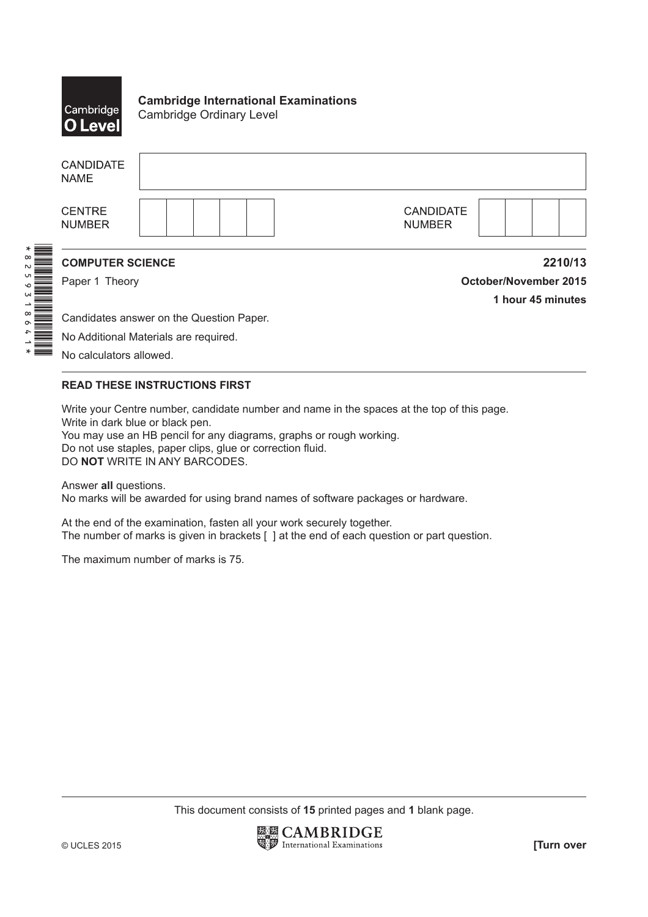

**Cambridge International Examinations** Cambridge Ordinary Level

|                      | <b>CANDIDATE</b><br><b>NAME</b> |                                          |                                   |                              |
|----------------------|---------------------------------|------------------------------------------|-----------------------------------|------------------------------|
|                      | <b>CENTRE</b><br><b>NUMBER</b>  |                                          | <b>CANDIDATE</b><br><b>NUMBER</b> |                              |
| $\infty$<br>N        | <b>COMPUTER SCIENCE</b>         |                                          |                                   | 2210/13                      |
|                      | Paper 1 Theory                  |                                          |                                   | <b>October/November 2015</b> |
| W                    |                                 |                                          |                                   | 1 hour 45 minutes            |
| $\infty$<br>$\sigma$ |                                 | Candidates answer on the Question Paper. |                                   |                              |
|                      |                                 | No Additional Materials are required.    |                                   |                              |
|                      | No calculators allowed.         |                                          |                                   |                              |

## **READ THESE INSTRUCTIONS FIRST**

Write your Centre number, candidate number and name in the spaces at the top of this page. Write in dark blue or black pen. You may use an HB pencil for any diagrams, graphs or rough working. Do not use staples, paper clips, glue or correction fluid.

DO **NOT** WRITE IN ANY BARCODES.

Answer **all** questions. No marks will be awarded for using brand names of software packages or hardware.

At the end of the examination, fasten all your work securely together. The number of marks is given in brackets [ ] at the end of each question or part question.

The maximum number of marks is 75.

This document consists of **15** printed pages and **1** blank page.

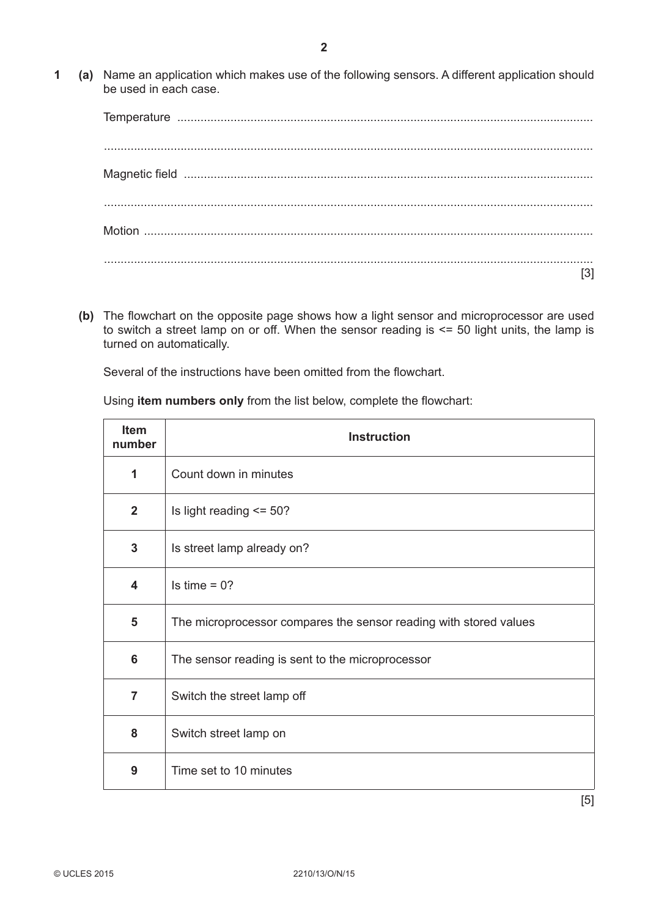Temperature ............................................................................................................................. ................................................................................................................................................... Magnetic field ........................................................................................................................... ................................................................................................................................................... Motion ....................................................................................................................................... ................................................................................................................................................... [3]

 **(b)** The flowchart on the opposite page shows how a light sensor and microprocessor are used to switch a street lamp on or off. When the sensor reading is <= 50 light units, the lamp is turned on automatically.

Several of the instructions have been omitted from the flowchart.

Using **item numbers only** from the list below, complete the flowchart:

| Item<br>number          | <b>Instruction</b>                                                |  |  |  |  |  |  |
|-------------------------|-------------------------------------------------------------------|--|--|--|--|--|--|
| 1                       | Count down in minutes                                             |  |  |  |  |  |  |
| $\mathbf{2}$            | Is light reading $\le$ = 50?                                      |  |  |  |  |  |  |
| 3                       | Is street lamp already on?                                        |  |  |  |  |  |  |
| $\overline{\mathbf{4}}$ | Is time $= 0$ ?                                                   |  |  |  |  |  |  |
| 5                       | The microprocessor compares the sensor reading with stored values |  |  |  |  |  |  |
| 6                       | The sensor reading is sent to the microprocessor                  |  |  |  |  |  |  |
| $\overline{7}$          | Switch the street lamp off                                        |  |  |  |  |  |  |
| 8                       | Switch street lamp on                                             |  |  |  |  |  |  |
| 9                       | Time set to 10 minutes                                            |  |  |  |  |  |  |

[5]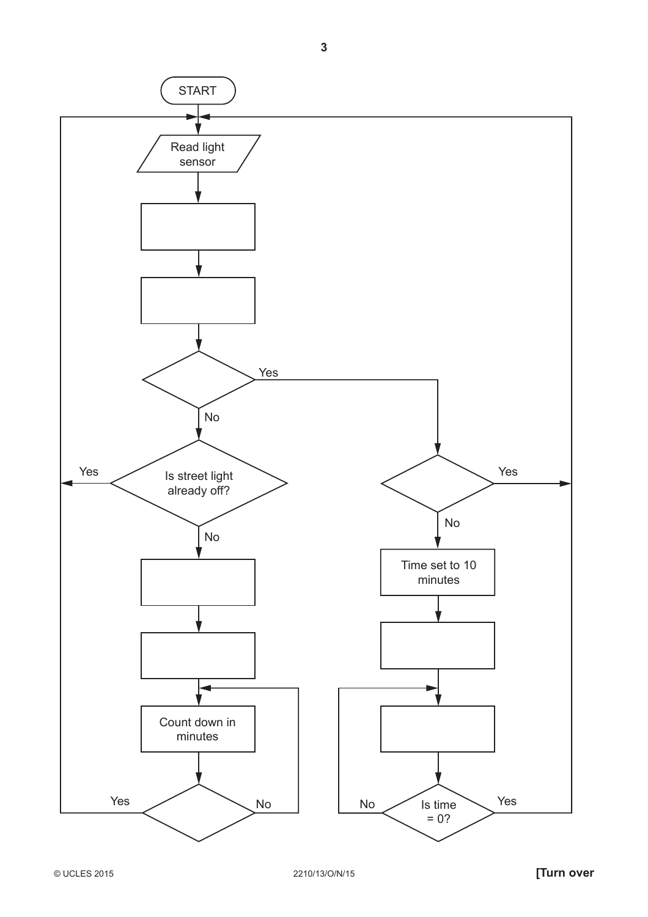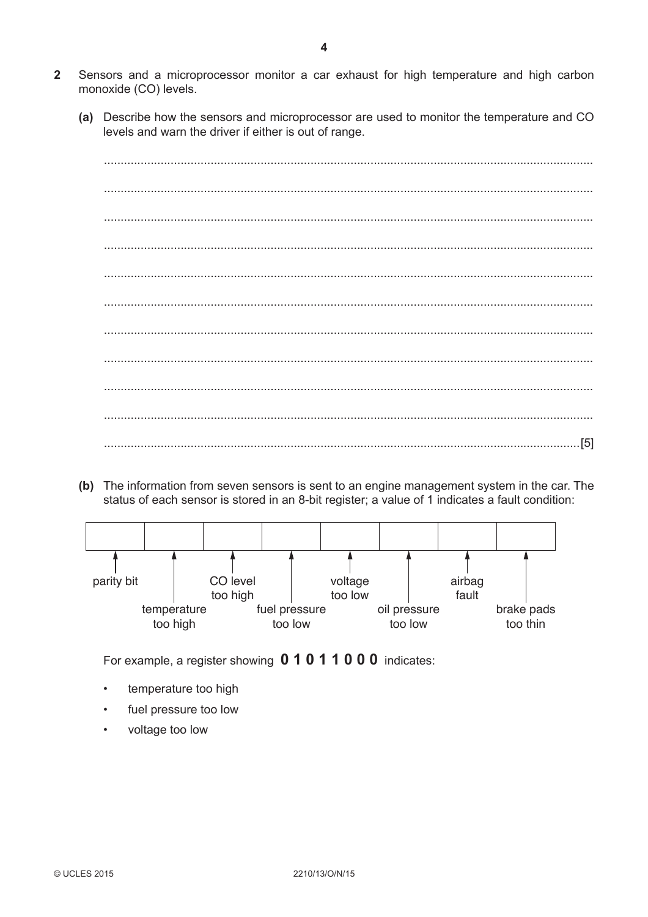- $\overline{2}$ Sensors and a microprocessor monitor a car exhaust for high temperature and high carbon monoxide (CO) levels.
	- (a) Describe how the sensors and microprocessor are used to monitor the temperature and CO levels and warn the driver if either is out of range.

|  |  | . [5] |
|--|--|-------|

(b) The information from seven sensors is sent to an engine management system in the car. The status of each sensor is stored in an 8-bit register; a value of 1 indicates a fault condition:



For example, a register showing 0 1 0 1 1 0 0 0 indicates:

- temperature too high
- fuel pressure too low  $\bullet$
- $\bullet$ voltage too low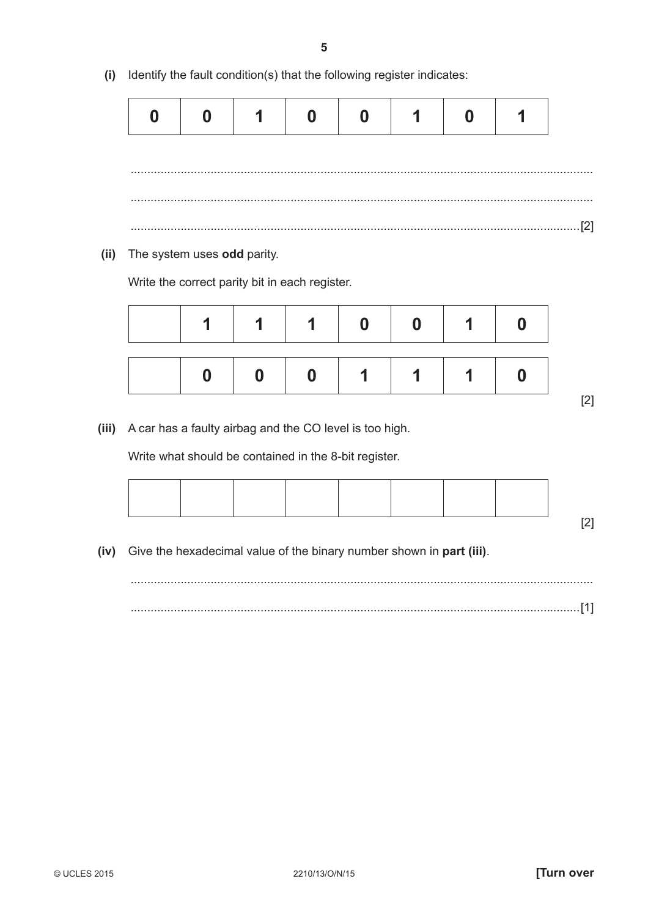**(i)** Identify the fault condition(s) that the following register indicates:

|                                | $\overline{\phantom{0}}$ |  |  |  |
|--------------------------------|--------------------------|--|--|--|
|                                |                          |  |  |  |
|                                |                          |  |  |  |
| $[2] \centering \label{def:3}$ |                          |  |  |  |

 **(ii)** The system uses **odd** parity.

Write the correct parity bit in each register.

 **(iii)** A car has a faulty airbag and the CO level is too high.

Write what should be contained in the 8-bit register.

 **(iv)** Give the hexadecimal value of the binary number shown in **part (iii)**.

 ........................................................................................................................................... .......................................................................................................................................[1]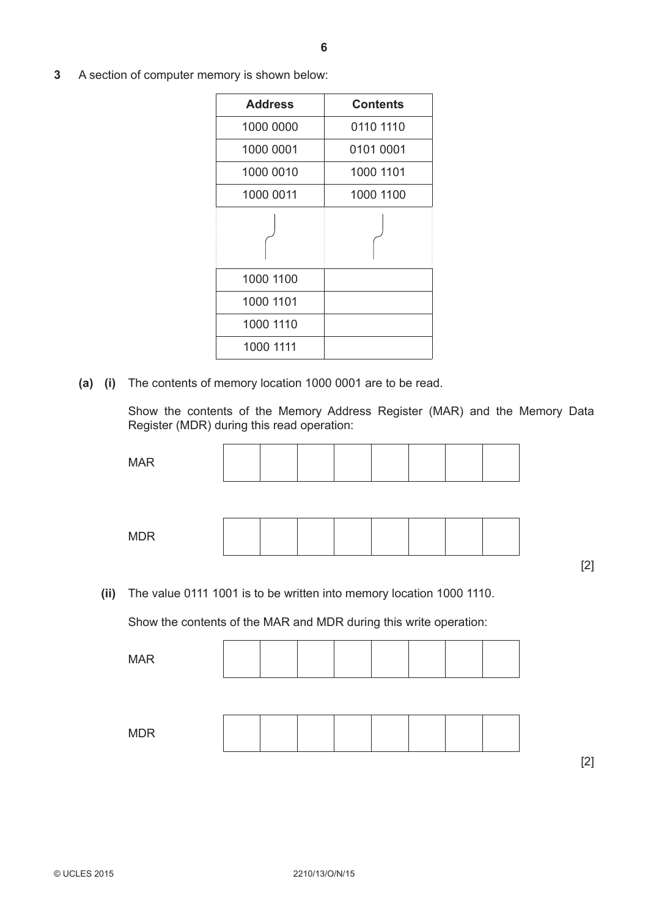**3** A section of computer memory is shown below:

| <b>Address</b> | <b>Contents</b> |
|----------------|-----------------|
| 1000 0000      | 0110 1110       |
| 1000 0001      | 0101 0001       |
| 1000 0010      | 1000 1101       |
| 1000 0011      | 1000 1100       |
|                |                 |
| 1000 1100      |                 |
| 1000 1101      |                 |
| 1000 1110      |                 |
| 1000 1111      |                 |

 **(a) (i)** The contents of memory location 1000 0001 are to be read.

Show the contents of the Memory Address Register (MAR) and the Memory Data Register (MDR) during this read operation:

| <b>MAR</b> |  |  |  |  |  |
|------------|--|--|--|--|--|
|            |  |  |  |  |  |
| <b>MDR</b> |  |  |  |  |  |
|            |  |  |  |  |  |

 **(ii)** The value 0111 1001 is to be written into memory location 1000 1110.

Show the contents of the MAR and MDR during this write operation:

| <b>MDR</b> | <b>MAR</b> |  |  |  |  |
|------------|------------|--|--|--|--|
|            |            |  |  |  |  |
|            |            |  |  |  |  |

[2]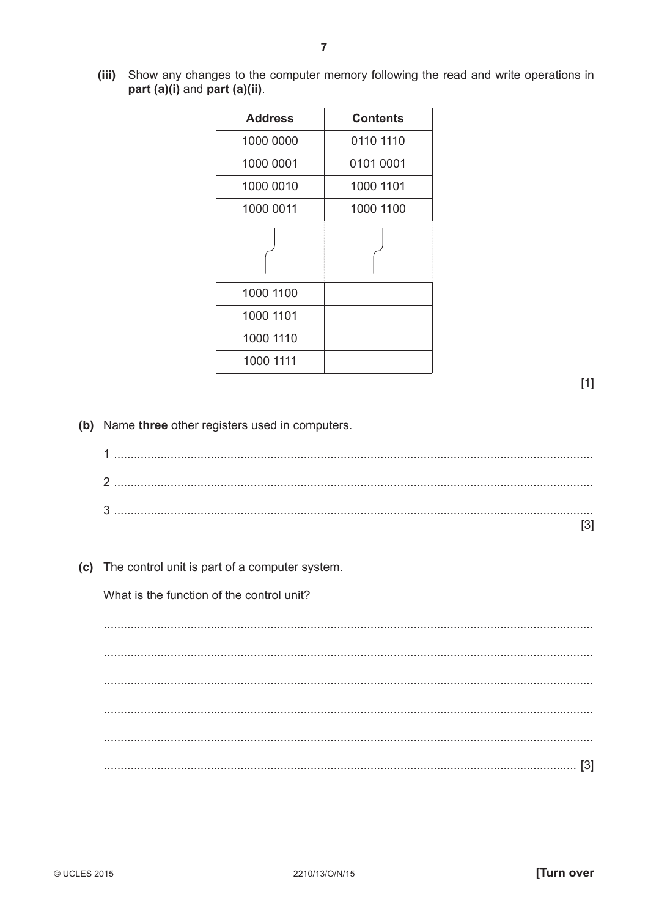(iii) Show any changes to the computer memory following the read and write operations in part (a)(i) and part (a)(ii).

| <b>Address</b> | <b>Contents</b> |
|----------------|-----------------|
| 1000 0000      | 0110 1110       |
| 1000 0001      | 0101 0001       |
| 1000 0010      | 1000 1101       |
| 1000 0011      | 1000 1100       |
|                |                 |
| 1000 1100      |                 |
| 1000 1101      |                 |
| 1000 1110      |                 |
| 1000 1111      |                 |

 $[1]$ 

(b) Name three other registers used in computers.

(c) The control unit is part of a computer system.

What is the function of the control unit?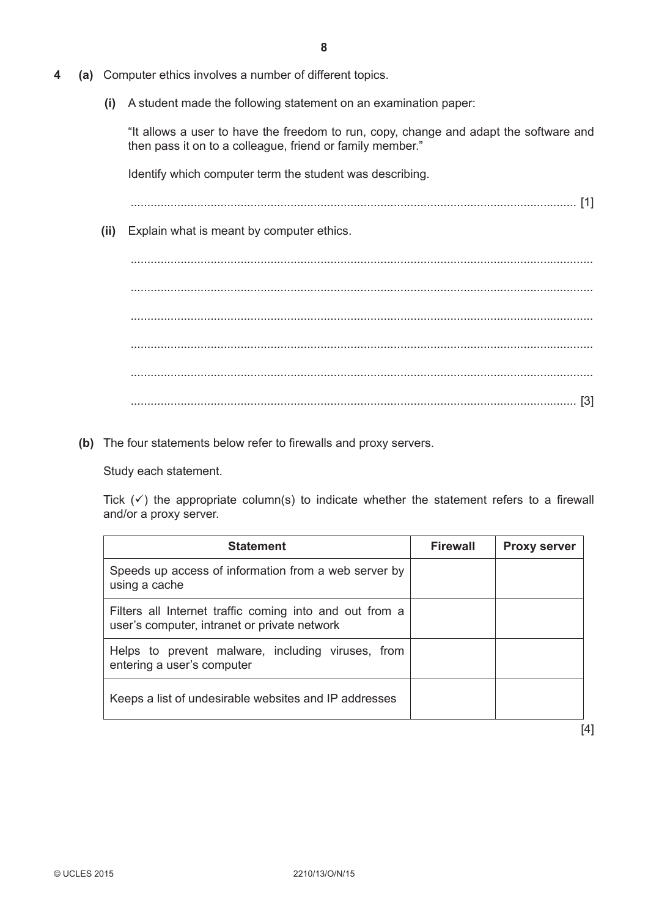- **4 (a)** Computer ethics involves a number of different topics.
	- **(i)** A student made the following statement on an examination paper:

"It allows a user to have the freedom to run, copy, change and adapt the software and then pass it on to a colleague, friend or family member."

Identify which computer term the student was describing.

...................................................................................................................................... [1]

 **(ii)** Explain what is meant by computer ethics.

 ........................................................................................................................................... ........................................................................................................................................... ........................................................................................................................................... ........................................................................................................................................... ........................................................................................................................................... ...................................................................................................................................... [3]

 **(b)** The four statements below refer to firewalls and proxy servers.

Study each statement.

Tick  $(\checkmark)$  the appropriate column(s) to indicate whether the statement refers to a firewall and/or a proxy server.

| <b>Statement</b>                                                                                        | <b>Firewall</b> | <b>Proxy server</b> |
|---------------------------------------------------------------------------------------------------------|-----------------|---------------------|
| Speeds up access of information from a web server by<br>using a cache                                   |                 |                     |
| Filters all Internet traffic coming into and out from a<br>user's computer, intranet or private network |                 |                     |
| Helps to prevent malware, including viruses, from<br>entering a user's computer                         |                 |                     |
| Keeps a list of undesirable websites and IP addresses                                                   |                 |                     |

[4]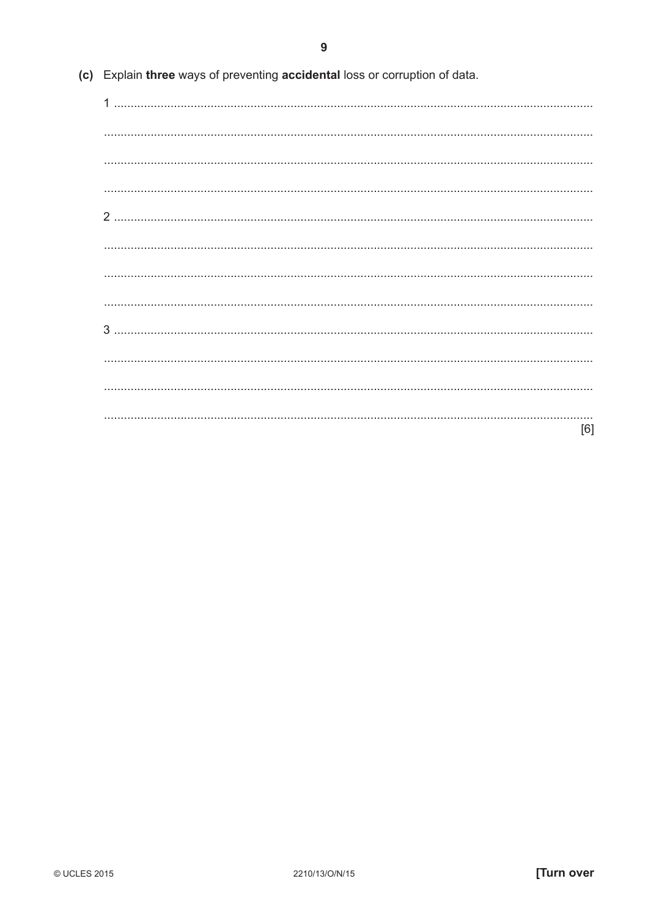|  |  | (c) Explain three ways of preventing accidental loss or corruption of data. |  |
|--|--|-----------------------------------------------------------------------------|--|
|  |  |                                                                             |  |

| [6] |
|-----|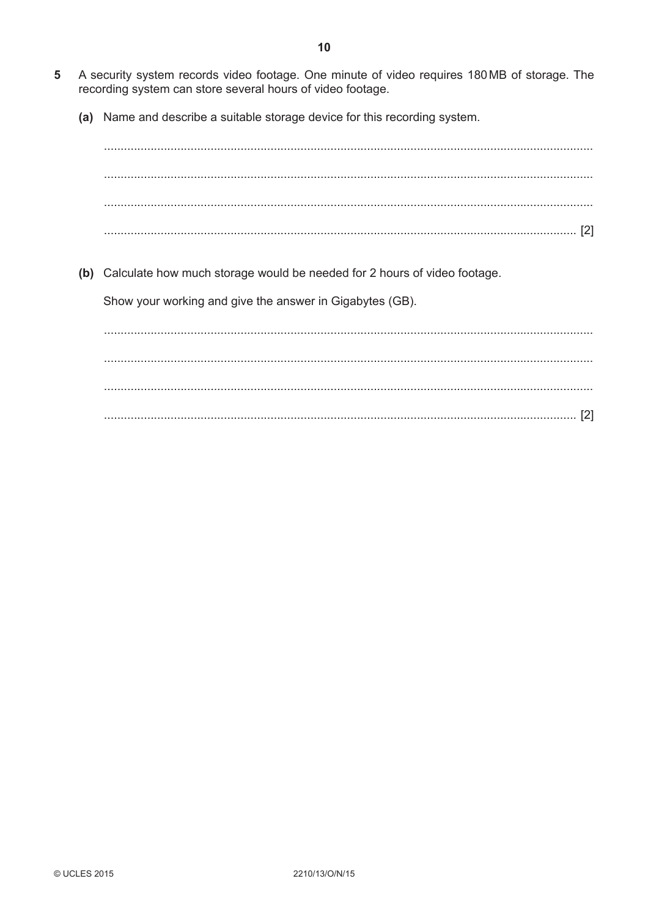- $5\phantom{1}$ A security system records video footage. One minute of video requires 180MB of storage. The recording system can store several hours of video footage.
	- (a) Name and describe a suitable storage device for this recording system.

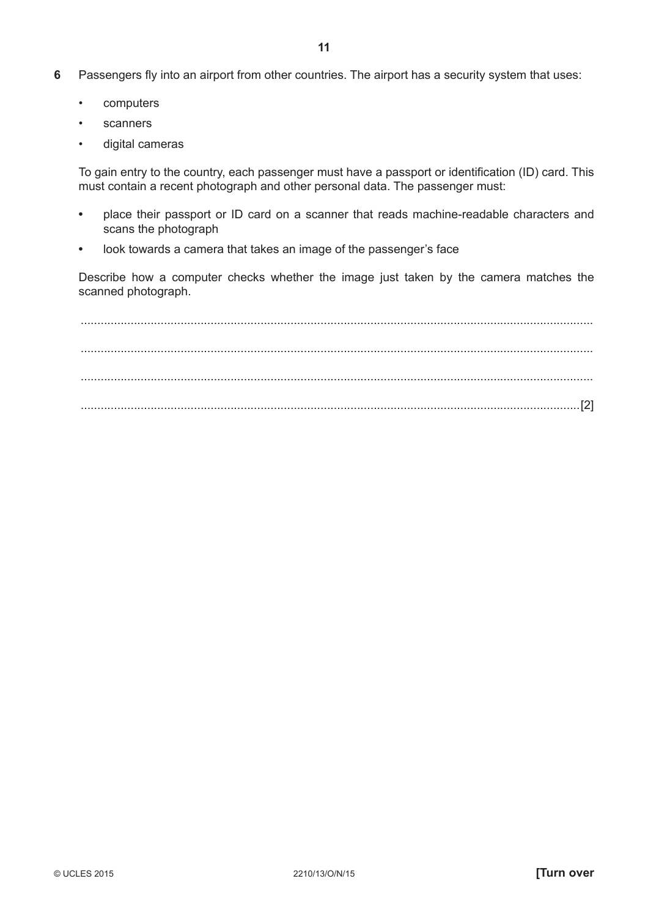- **6** Passengers fly into an airport from other countries. The airport has a security system that uses:
	- computers
	- **scanners**
	- digital cameras

 To gain entry to the country, each passenger must have a passport or identification (ID) card. This must contain a recent photograph and other personal data. The passenger must:

- place their passport or ID card on a scanner that reads machine-readable characters and scans the photograph
- look towards a camera that takes an image of the passenger's face

Describe how a computer checks whether the image just taken by the camera matches the scanned photograph.

 .......................................................................................................................................................... .......................................................................................................................................................... .......................................................................................................................................................... ......................................................................................................................................................[2]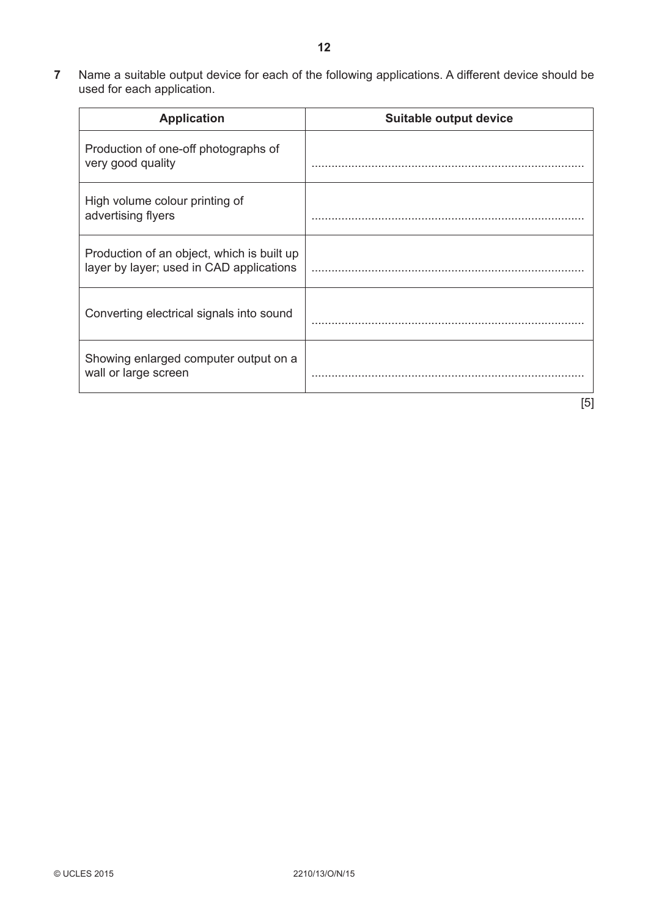**7** Name a suitable output device for each of the following applications. A different device should be used for each application.

| <b>Application</b>                                                                     | Suitable output device |
|----------------------------------------------------------------------------------------|------------------------|
| Production of one-off photographs of<br>very good quality                              |                        |
| High volume colour printing of<br>advertising flyers                                   |                        |
| Production of an object, which is built up<br>layer by layer; used in CAD applications |                        |
| Converting electrical signals into sound                                               |                        |
| Showing enlarged computer output on a<br>wall or large screen                          |                        |
|                                                                                        | [5]                    |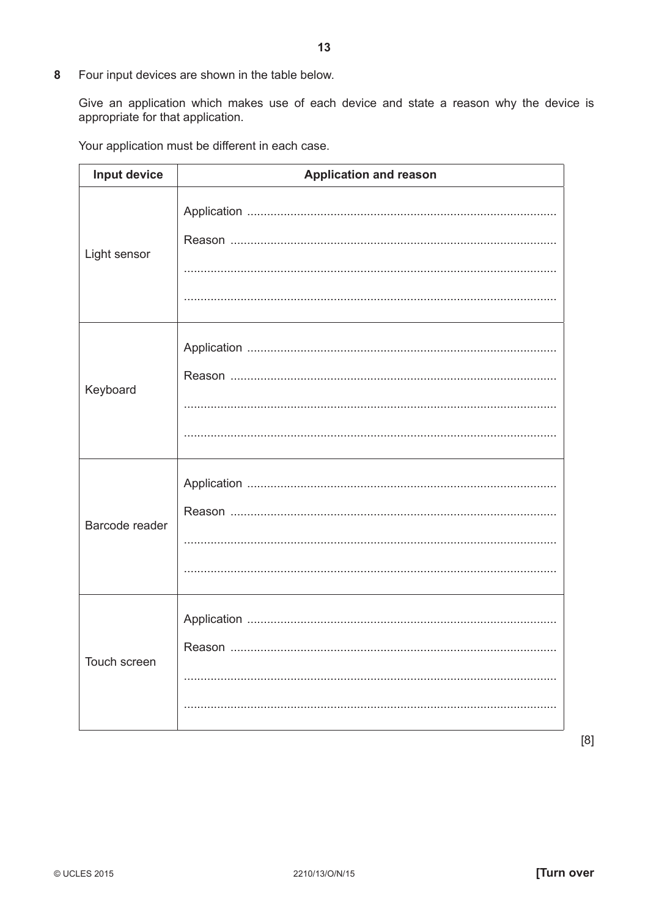8 Four input devices are shown in the table below.

Give an application which makes use of each device and state a reason why the device is appropriate for that application.

Your application must be different in each case.

| Input device   | <b>Application and reason</b> |
|----------------|-------------------------------|
| Light sensor   |                               |
| Keyboard       |                               |
| Barcode reader |                               |
| Touch screen   | Reason                        |

 $[8]$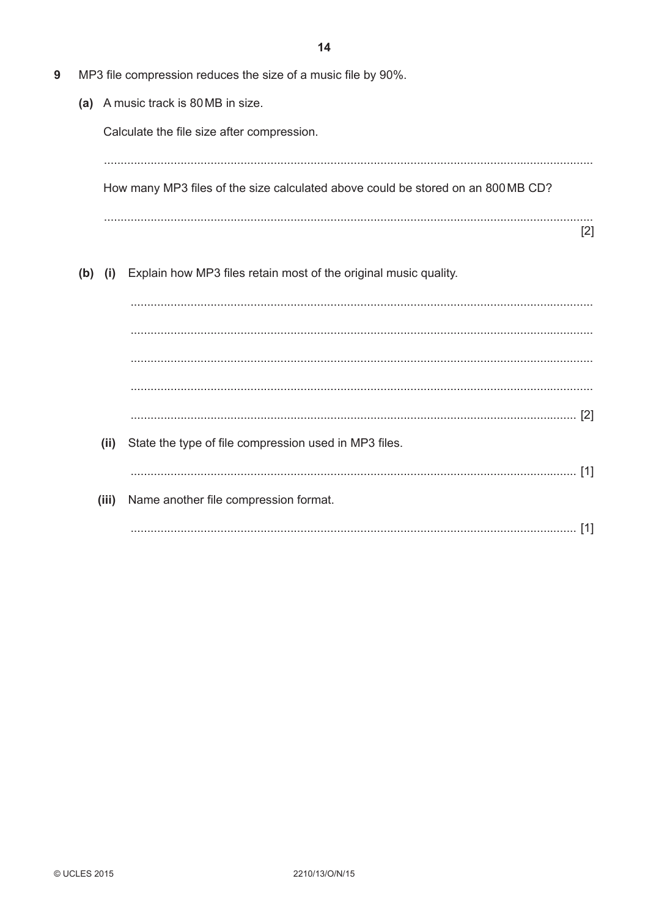MP3 file compression reduces the size of a music file by 90%. (a) A music track is 80 MB in size. Calculate the file size after compression. How many MP3 files of the size calculated above could be stored on an 800 MB CD?  $[2]$ (b) (i) Explain how MP3 files retain most of the original music quality.  $(ii)$ State the type of file compression used in MP3 files. (iii) Name another file compression format. 

9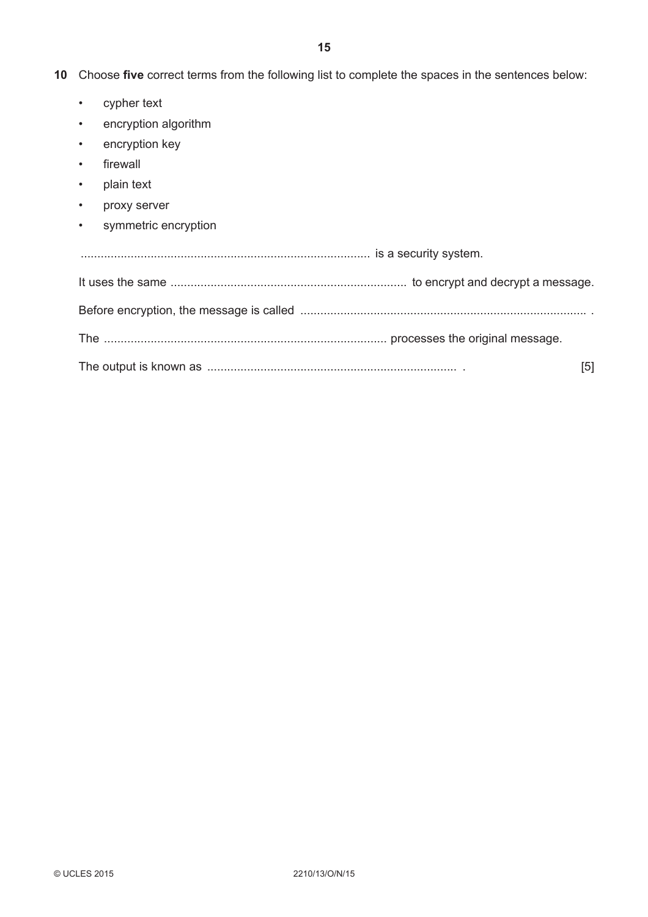**10** Choose **five** correct terms from the following list to complete the spaces in the sentences below:

- cypher text
- encryption algorithm
- encryption key
- firewall
- plain text
- proxy server
- symmetric encryption

|  | [5] |  |  |  |
|--|-----|--|--|--|